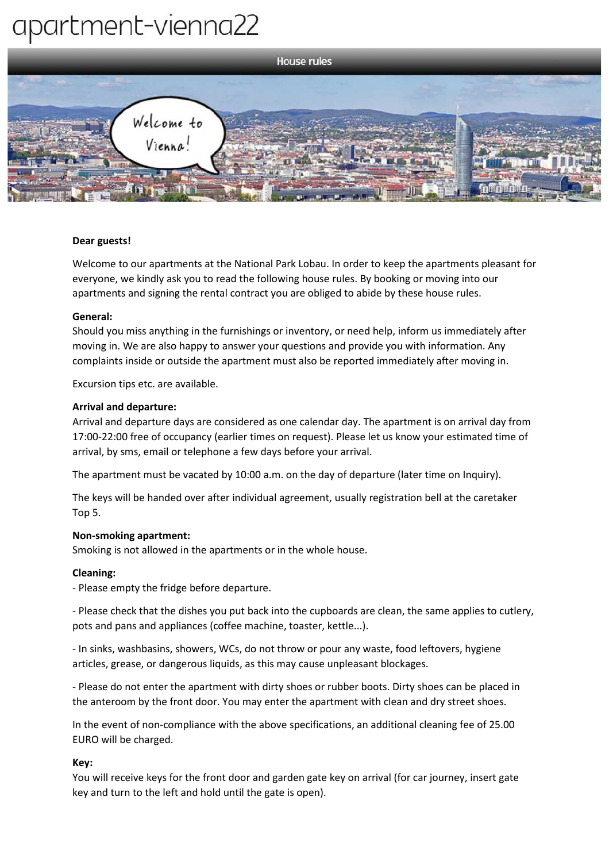# apartment-vienna22



## **Dear guests!**

Welcome to our apartments at the National Park Lobau. In order to keep the apartments pleasant for everyone, we kindly ask you to read the following house rules. By booking or moving into our apartments and signing the rental contract you are obliged to abide by these house rules.

## **General:**

Should you miss anything in the furnishings or inventory, or need help, inform us immediately after moving in. We are also happy to answer your questions and provide you with information. Any complaints inside or outside the apartment must also be reported immediately after moving in.

Excursion tips etc. are available.

## **Arrival and departure:**

Arrival and departure days are considered as one calendar day. The apartment is on arrival day from 17:00-22:00 free of occupancy (earlier times on request). Please let us know your estimated time of arrival, by sms, email or telephone a few days before your arrival.

The apartment must be vacated by 10:00 a.m. on the day of departure (later time on Inquiry).

The keys will be handed over after individual agreement, usually registration bell at the caretaker Top 5.

## **Non-smoking apartment:**

Smoking is not allowed in the apartments or in the whole house.

## **Cleaning:**

- Please empty the fridge before departure.

- Please check that the dishes you put back into the cupboards are clean, the same applies to cutlery, pots and pans and appliances (coffee machine, toaster, kettle...).

- In sinks, washbasins, showers, WCs, do not throw or pour any waste, food leftovers, hygiene articles, grease, or dangerous liquids, as this may cause unpleasant blockages.

- Please do not enter the apartment with dirty shoes or rubber boots. Dirty shoes can be placed in the anteroom by the front door. You may enter the apartment with clean and dry street shoes.

In the event of non-compliance with the above specifications, an additional cleaning fee of 25.00 EURO will be charged.

## **Key:**

You will receive keys for the front door and garden gate key on arrival (for car journey, insert gate key and turn to the left and hold until the gate is open).